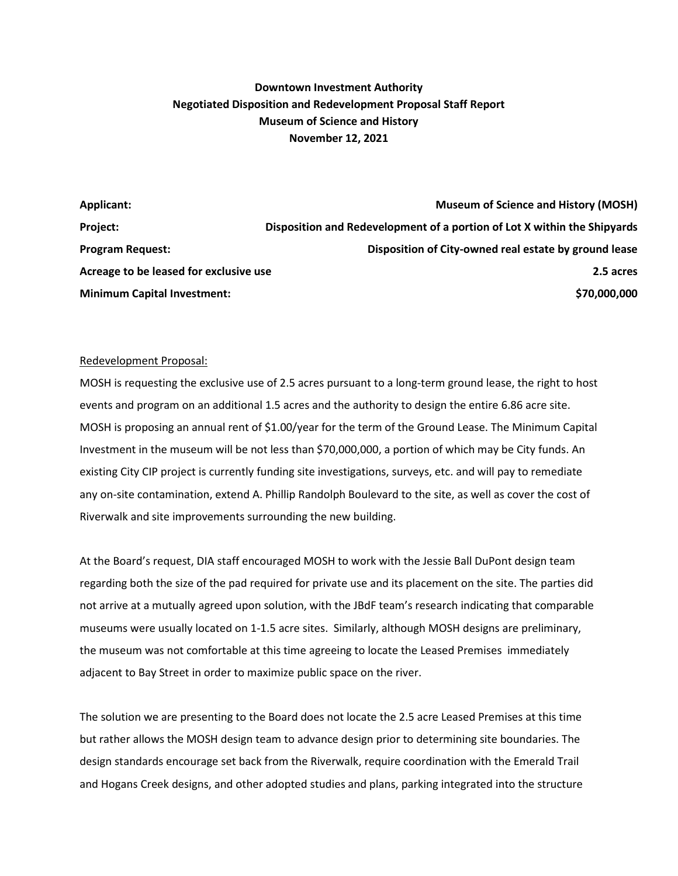# **Downtown Investment Authority Negotiated Disposition and Redevelopment Proposal Staff Report Museum of Science and History November 12, 2021**

| Applicant:                             | <b>Museum of Science and History (MOSH)</b>                              |
|----------------------------------------|--------------------------------------------------------------------------|
| Project:                               | Disposition and Redevelopment of a portion of Lot X within the Shipyards |
| <b>Program Request:</b>                | Disposition of City-owned real estate by ground lease                    |
| Acreage to be leased for exclusive use | 2.5 acres                                                                |
| <b>Minimum Capital Investment:</b>     | \$70,000,000                                                             |

### Redevelopment Proposal:

MOSH is requesting the exclusive use of 2.5 acres pursuant to a long-term ground lease, the right to host events and program on an additional 1.5 acres and the authority to design the entire 6.86 acre site. MOSH is proposing an annual rent of \$1.00/year for the term of the Ground Lease. The Minimum Capital Investment in the museum will be not less than \$70,000,000, a portion of which may be City funds. An existing City CIP project is currently funding site investigations, surveys, etc. and will pay to remediate any on-site contamination, extend A. Phillip Randolph Boulevard to the site, as well as cover the cost of Riverwalk and site improvements surrounding the new building.

At the Board's request, DIA staff encouraged MOSH to work with the Jessie Ball DuPont design team regarding both the size of the pad required for private use and its placement on the site. The parties did not arrive at a mutually agreed upon solution, with the JBdF team's research indicating that comparable museums were usually located on 1-1.5 acre sites. Similarly, although MOSH designs are preliminary, the museum was not comfortable at this time agreeing to locate the Leased Premises immediately adjacent to Bay Street in order to maximize public space on the river.

The solution we are presenting to the Board does not locate the 2.5 acre Leased Premises at this time but rather allows the MOSH design team to advance design prior to determining site boundaries. The design standards encourage set back from the Riverwalk, require coordination with the Emerald Trail and Hogans Creek designs, and other adopted studies and plans, parking integrated into the structure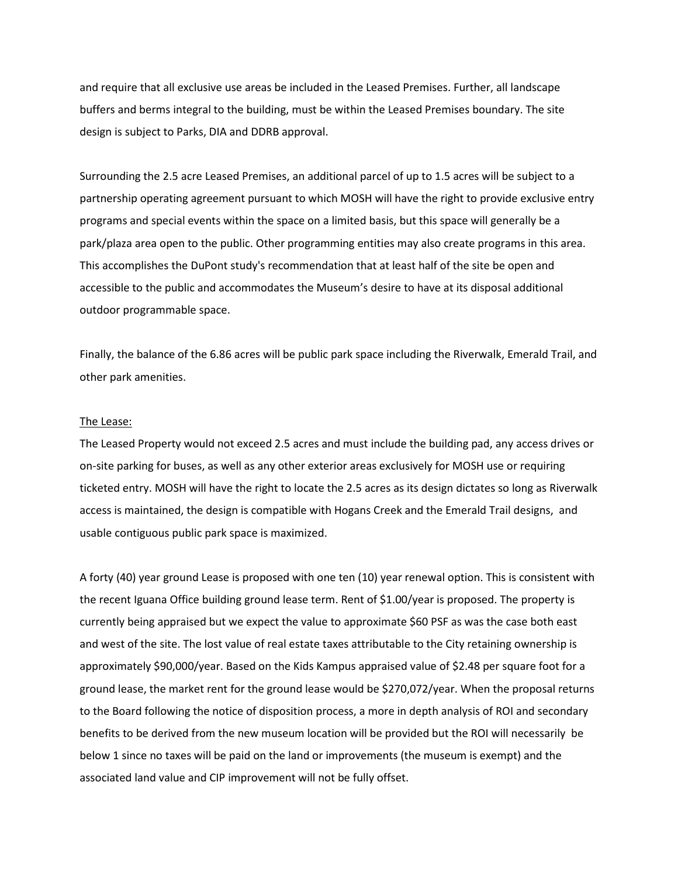and require that all exclusive use areas be included in the Leased Premises. Further, all landscape buffers and berms integral to the building, must be within the Leased Premises boundary. The site design is subject to Parks, DIA and DDRB approval.

Surrounding the 2.5 acre Leased Premises, an additional parcel of up to 1.5 acres will be subject to a partnership operating agreement pursuant to which MOSH will have the right to provide exclusive entry programs and special events within the space on a limited basis, but this space will generally be a park/plaza area open to the public. Other programming entities may also create programs in this area. This accomplishes the DuPont study's recommendation that at least half of the site be open and accessible to the public and accommodates the Museum's desire to have at its disposal additional outdoor programmable space.

Finally, the balance of the 6.86 acres will be public park space including the Riverwalk, Emerald Trail, and other park amenities.

#### The Lease:

The Leased Property would not exceed 2.5 acres and must include the building pad, any access drives or on-site parking for buses, as well as any other exterior areas exclusively for MOSH use or requiring ticketed entry. MOSH will have the right to locate the 2.5 acres as its design dictates so long as Riverwalk access is maintained, the design is compatible with Hogans Creek and the Emerald Trail designs, and usable contiguous public park space is maximized.

A forty (40) year ground Lease is proposed with one ten (10) year renewal option. This is consistent with the recent Iguana Office building ground lease term. Rent of \$1.00/year is proposed. The property is currently being appraised but we expect the value to approximate \$60 PSF as was the case both east and west of the site. The lost value of real estate taxes attributable to the City retaining ownership is approximately \$90,000/year. Based on the Kids Kampus appraised value of \$2.48 per square foot for a ground lease, the market rent for the ground lease would be \$270,072/year. When the proposal returns to the Board following the notice of disposition process, a more in depth analysis of ROI and secondary benefits to be derived from the new museum location will be provided but the ROI will necessarily be below 1 since no taxes will be paid on the land or improvements (the museum is exempt) and the associated land value and CIP improvement will not be fully offset.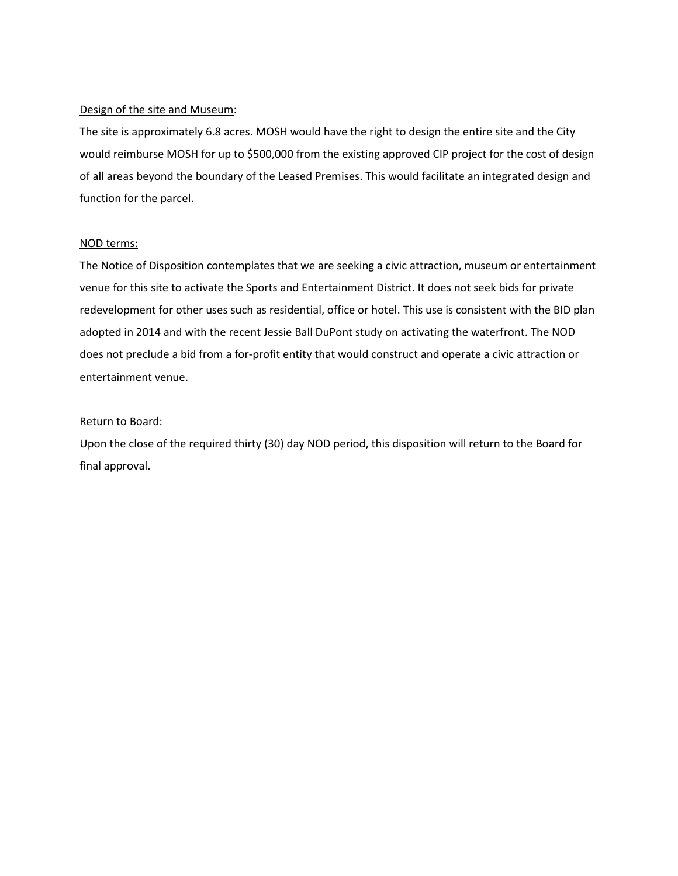# Design of the site and Museum:

The site is approximately 6.8 acres. MOSH would have the right to design the entire site and the City would reimburse MOSH for up to \$500,000 from the existing approved CIP project for the cost of design of all areas beyond the boundary of the Leased Premises. This would facilitate an integrated design and function for the parcel.

# NOD terms:

The Notice of Disposition contemplates that we are seeking a civic attraction, museum or entertainment venue for this site to activate the Sports and Entertainment District. It does not seek bids for private redevelopment for other uses such as residential, office or hotel. This use is consistent with the BID plan adopted in 2014 and with the recent Jessie Ball DuPont study on activating the waterfront. The NOD does not preclude a bid from a for-profit entity that would construct and operate a civic attraction or entertainment venue.

# Return to Board:

Upon the close of the required thirty (30) day NOD period, this disposition will return to the Board for final approval.